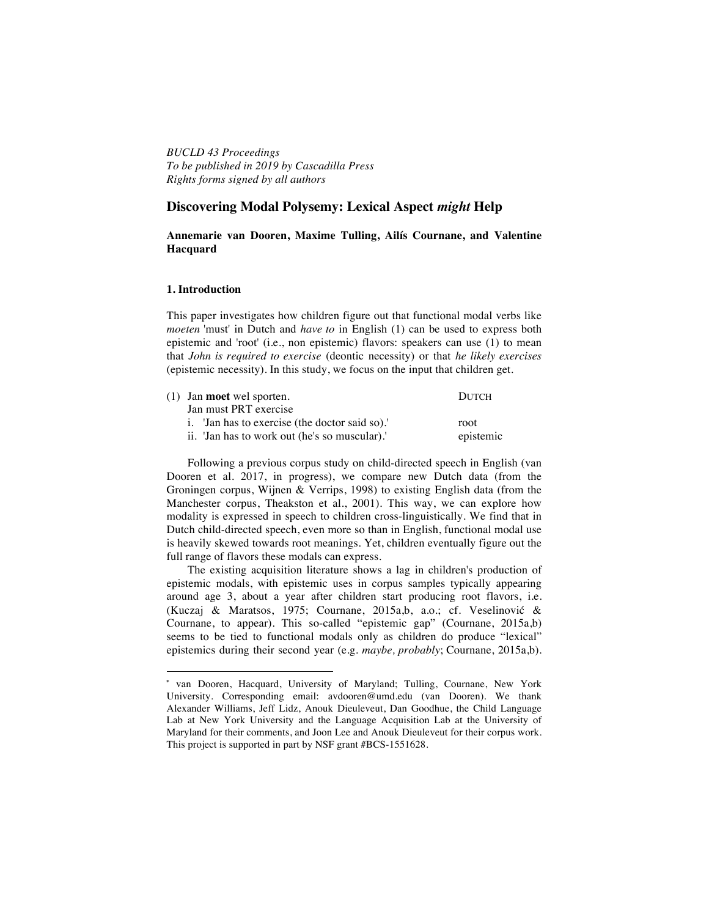*BUCLD 43 Proceedings To be published in 2019 by Cascadilla Press Rights forms signed by all authors*

# **Discovering Modal Polysemy: Lexical Aspect** *might* **Help**

## **Annemarie van Dooren, Maxime Tulling, Ailís Cournane, and Valentine Hacquard\***

#### **1. Introduction**

This paper investigates how children figure out that functional modal verbs like *moeten* 'must' in Dutch and *have to* in English (1) can be used to express both epistemic and 'root' (i.e., non epistemic) flavors: speakers can use (1) to mean that *John is required to exercise* (deontic necessity) or that *he likely exercises* (epistemic necessity). In this study, we focus on the input that children get.

| (1) Jan <b>moet</b> wel sporten.               | <b>DUTCH</b> |
|------------------------------------------------|--------------|
| Jan must PRT exercise                          |              |
| i. 'Jan has to exercise (the doctor said so).' | root         |
| ii. 'Jan has to work out (he's so muscular).'  | epistemic    |
|                                                |              |

Following a previous corpus study on child-directed speech in English (van Dooren et al. 2017, in progress), we compare new Dutch data (from the Groningen corpus, Wijnen & Verrips, 1998) to existing English data (from the Manchester corpus, Theakston et al., 2001). This way, we can explore how modality is expressed in speech to children cross-linguistically. We find that in Dutch child-directed speech, even more so than in English, functional modal use is heavily skewed towards root meanings. Yet, children eventually figure out the full range of flavors these modals can express.

The existing acquisition literature shows a lag in children's production of epistemic modals, with epistemic uses in corpus samples typically appearing around age 3, about a year after children start producing root flavors, i.e. (Kuczaj & Maratsos, 1975; Cournane, 2015a,b, a.o.; cf. Veselinović & Cournane, to appear). This so-called "epistemic gap" (Cournane, 2015a,b) seems to be tied to functional modals only as children do produce "lexical" epistemics during their second year (e.g. *maybe, probably*; Cournane, 2015a,b).

 

<sup>\*</sup> van Dooren, Hacquard, University of Maryland; Tulling, Cournane, New York University. Corresponding email: avdooren@umd.edu (van Dooren). We thank Alexander Williams, Jeff Lidz, Anouk Dieuleveut, Dan Goodhue, the Child Language Lab at New York University and the Language Acquisition Lab at the University of Maryland for their comments, and Joon Lee and Anouk Dieuleveut for their corpus work. This project is supported in part by NSF grant #BCS-1551628.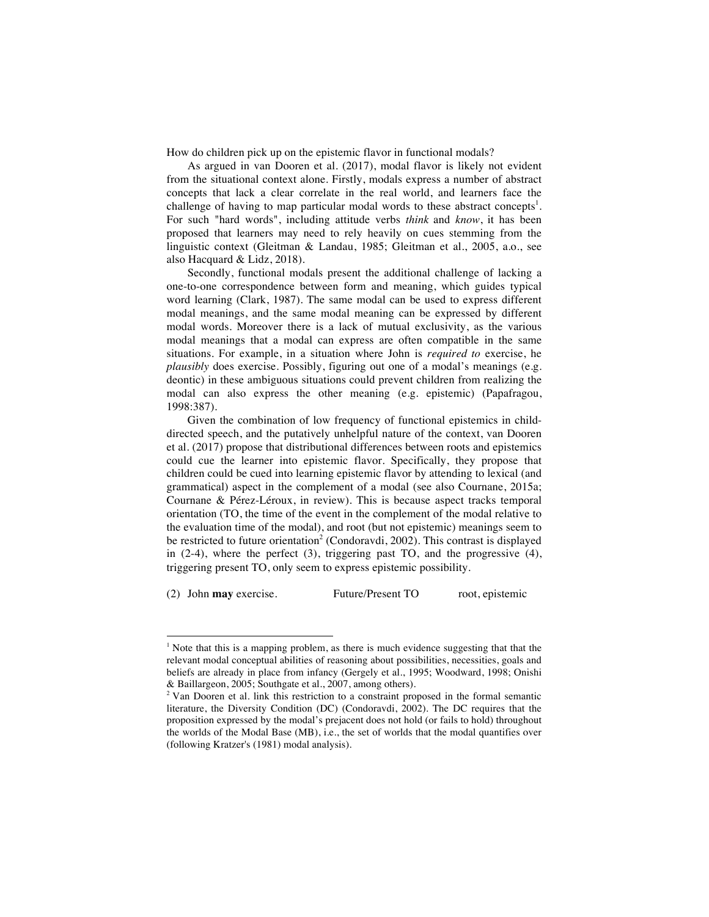How do children pick up on the epistemic flavor in functional modals?

As argued in van Dooren et al. (2017), modal flavor is likely not evident from the situational context alone. Firstly, modals express a number of abstract concepts that lack a clear correlate in the real world, and learners face the challenge of having to map particular modal words to these abstract concepts<sup>1</sup>. For such "hard words", including attitude verbs *think* and *know*, it has been proposed that learners may need to rely heavily on cues stemming from the linguistic context (Gleitman & Landau, 1985; Gleitman et al., 2005, a.o., see also Hacquard & Lidz, 2018).

Secondly, functional modals present the additional challenge of lacking a one-to-one correspondence between form and meaning, which guides typical word learning (Clark, 1987). The same modal can be used to express different modal meanings, and the same modal meaning can be expressed by different modal words. Moreover there is a lack of mutual exclusivity, as the various modal meanings that a modal can express are often compatible in the same situations. For example, in a situation where John is *required to* exercise, he *plausibly* does exercise. Possibly, figuring out one of a modal's meanings (e.g. deontic) in these ambiguous situations could prevent children from realizing the modal can also express the other meaning (e.g. epistemic) (Papafragou, 1998:387).

Given the combination of low frequency of functional epistemics in childdirected speech, and the putatively unhelpful nature of the context, van Dooren et al. (2017) propose that distributional differences between roots and epistemics could cue the learner into epistemic flavor. Specifically, they propose that children could be cued into learning epistemic flavor by attending to lexical (and grammatical) aspect in the complement of a modal (see also Cournane, 2015a; Cournane & Pérez-Léroux, in review). This is because aspect tracks temporal orientation (TO, the time of the event in the complement of the modal relative to the evaluation time of the modal), and root (but not epistemic) meanings seem to be restricted to future orientation<sup>2</sup> (Condoravdi, 2002). This contrast is displayed in (2-4), where the perfect (3), triggering past TO, and the progressive (4), triggering present TO, only seem to express epistemic possibility.

(2) John **may** exercise. Future/Present TO root, epistemic

 

<sup>&</sup>lt;sup>1</sup> Note that this is a mapping problem, as there is much evidence suggesting that that the relevant modal conceptual abilities of reasoning about possibilities, necessities, goals and beliefs are already in place from infancy (Gergely et al., 1995; Woodward, 1998; Onishi & Baillargeon, 2005; Southgate et al., 2007, among others).

<sup>&</sup>lt;sup>2</sup> Van Dooren et al. link this restriction to a constraint proposed in the formal semantic literature, the Diversity Condition (DC) (Condoravdi, 2002). The DC requires that the proposition expressed by the modal's prejacent does not hold (or fails to hold) throughout the worlds of the Modal Base (MB), i.e., the set of worlds that the modal quantifies over (following Kratzer's (1981) modal analysis).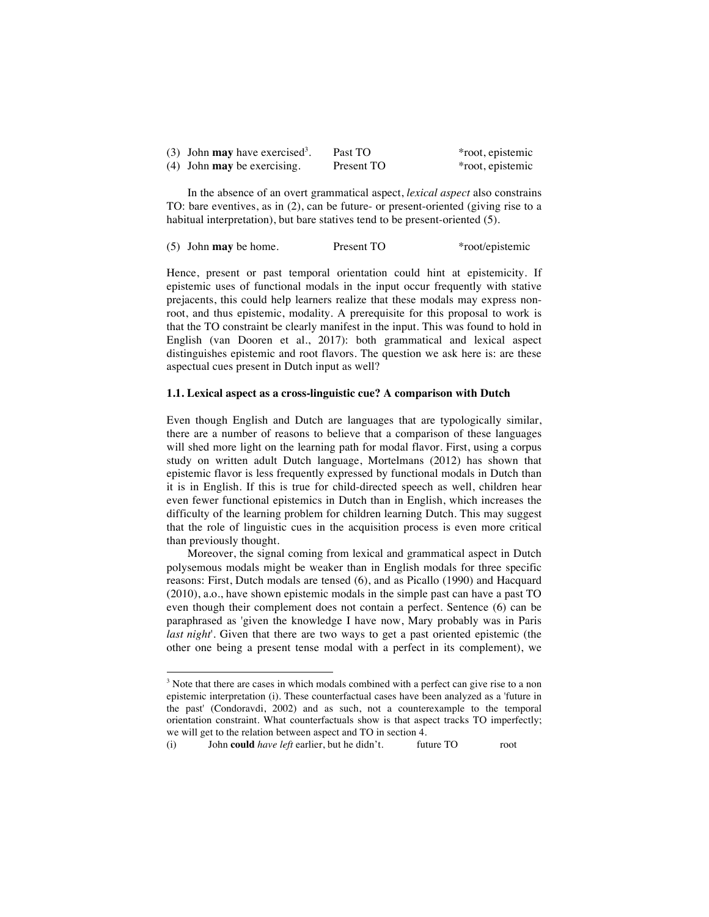| (3) John <b>may</b> have exercised <sup>3</sup> . | Past TO    | *root, epistemic |
|---------------------------------------------------|------------|------------------|
| $(4)$ John may be exercising.                     | Present TO | *root, epistemic |

In the absence of an overt grammatical aspect, *lexical aspect* also constrains TO: bare eventives, as in (2), can be future- or present-oriented (giving rise to a habitual interpretation), but bare statives tend to be present-oriented (5).

|  | $(5)$ John may be home. | Present TO | *root/epistemic |
|--|-------------------------|------------|-----------------|
|--|-------------------------|------------|-----------------|

Hence, present or past temporal orientation could hint at epistemicity. If epistemic uses of functional modals in the input occur frequently with stative prejacents, this could help learners realize that these modals may express nonroot, and thus epistemic, modality. A prerequisite for this proposal to work is that the TO constraint be clearly manifest in the input. This was found to hold in English (van Dooren et al., 2017): both grammatical and lexical aspect distinguishes epistemic and root flavors. The question we ask here is: are these aspectual cues present in Dutch input as well?

## **1.1. Lexical aspect as a cross-linguistic cue? A comparison with Dutch**

Even though English and Dutch are languages that are typologically similar, there are a number of reasons to believe that a comparison of these languages will shed more light on the learning path for modal flavor. First, using a corpus study on written adult Dutch language, Mortelmans (2012) has shown that epistemic flavor is less frequently expressed by functional modals in Dutch than it is in English. If this is true for child-directed speech as well, children hear even fewer functional epistemics in Dutch than in English, which increases the difficulty of the learning problem for children learning Dutch. This may suggest that the role of linguistic cues in the acquisition process is even more critical than previously thought.

Moreover, the signal coming from lexical and grammatical aspect in Dutch polysemous modals might be weaker than in English modals for three specific reasons: First, Dutch modals are tensed (6), and as Picallo (1990) and Hacquard (2010), a.o., have shown epistemic modals in the simple past can have a past TO even though their complement does not contain a perfect. Sentence (6) can be paraphrased as 'given the knowledge I have now, Mary probably was in Paris *last night*'. Given that there are two ways to get a past oriented epistemic (the other one being a present tense modal with a perfect in its complement), we

(i) John **could** *have left* earlier, but he didn't. future TO root

 

<sup>&</sup>lt;sup>3</sup> Note that there are cases in which modals combined with a perfect can give rise to a non epistemic interpretation (i). These counterfactual cases have been analyzed as a 'future in the past' (Condoravdi, 2002) and as such, not a counterexample to the temporal orientation constraint. What counterfactuals show is that aspect tracks TO imperfectly; we will get to the relation between aspect and TO in section 4.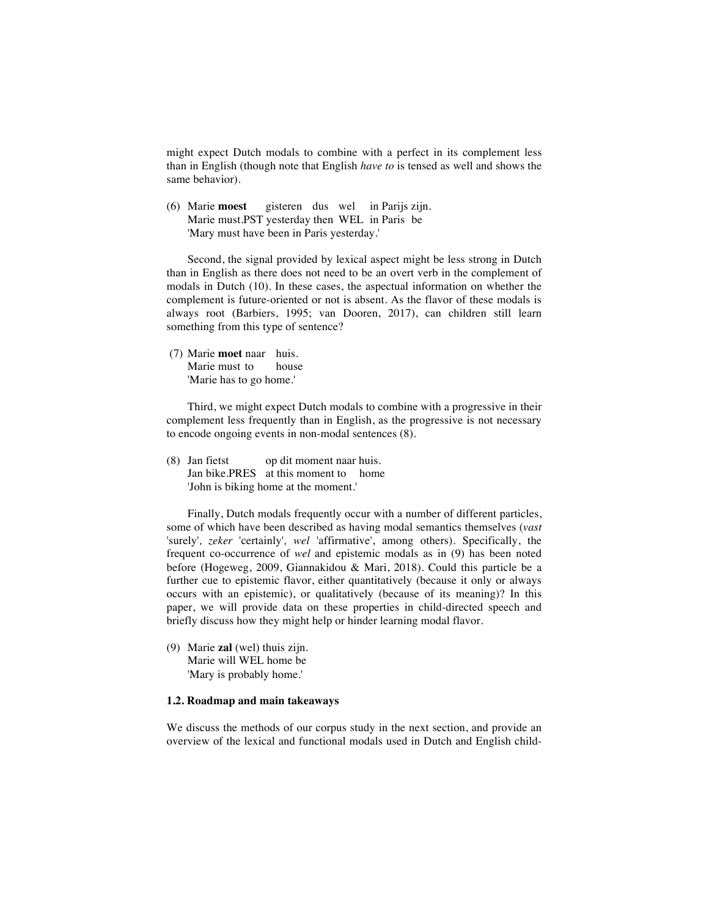might expect Dutch modals to combine with a perfect in its complement less than in English (though note that English *have to* is tensed as well and shows the same behavior).

(6) Marie **moest** gisteren dus wel in Parijs zijn. Marie must.PST yesterday then WEL in Paris be 'Mary must have been in Paris yesterday.'

Second, the signal provided by lexical aspect might be less strong in Dutch than in English as there does not need to be an overt verb in the complement of modals in Dutch (10). In these cases, the aspectual information on whether the complement is future-oriented or not is absent. As the flavor of these modals is always root (Barbiers, 1995; van Dooren, 2017), can children still learn something from this type of sentence?

(7) Marie **moet** naar huis. Marie must to house 'Marie has to go home.'

Third, we might expect Dutch modals to combine with a progressive in their complement less frequently than in English, as the progressive is not necessary to encode ongoing events in non-modal sentences (8).

(8) Jan fietst op dit moment naar huis. Jan bike.PRES at this moment to home 'John is biking home at the moment.'

Finally, Dutch modals frequently occur with a number of different particles, some of which have been described as having modal semantics themselves (*vast*  'surely'*, zeker* 'certainly'*, wel* 'affirmative', among others). Specifically, the frequent co-occurrence of *wel* and epistemic modals as in (9) has been noted before (Hogeweg, 2009, Giannakidou & Mari, 2018). Could this particle be a further cue to epistemic flavor, either quantitatively (because it only or always occurs with an epistemic), or qualitatively (because of its meaning)? In this paper, we will provide data on these properties in child-directed speech and briefly discuss how they might help or hinder learning modal flavor.

(9) Marie **zal** (wel) thuis zijn. Marie will WEL home be 'Mary is probably home.'

#### **1.2. Roadmap and main takeaways**

We discuss the methods of our corpus study in the next section, and provide an overview of the lexical and functional modals used in Dutch and English child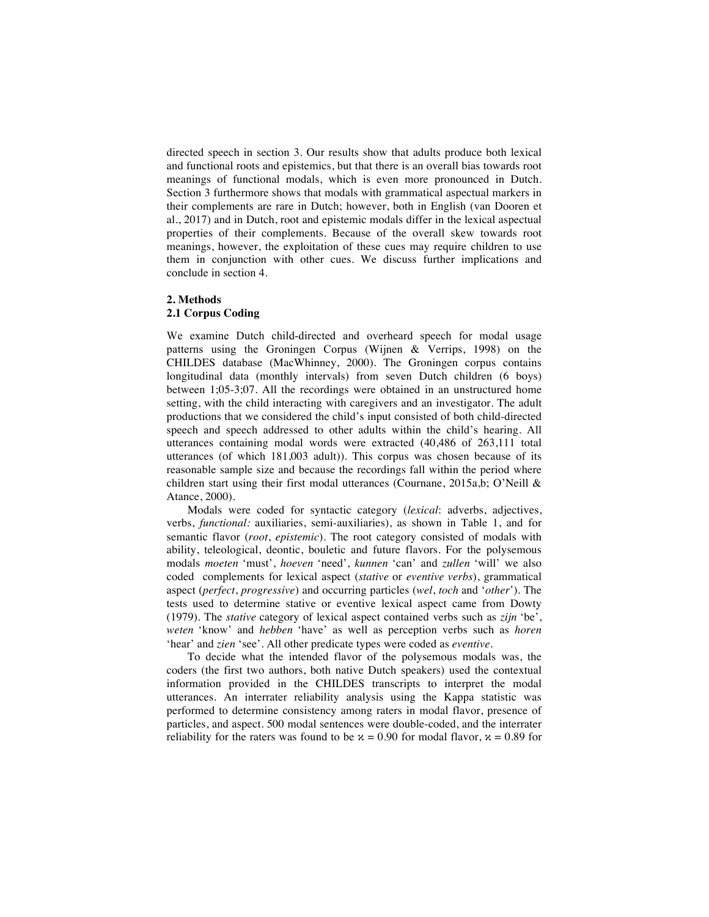directed speech in section 3. Our results show that adults produce both lexical and functional roots and epistemics, but that there is an overall bias towards root meanings of functional modals, which is even more pronounced in Dutch. Section 3 furthermore shows that modals with grammatical aspectual markers in their complements are rare in Dutch; however, both in English (van Dooren et al., 2017) and in Dutch, root and epistemic modals differ in the lexical aspectual properties of their complements. Because of the overall skew towards root meanings, however, the exploitation of these cues may require children to use them in conjunction with other cues. We discuss further implications and conclude in section 4.

### **2. Methods**

## **2.1 Corpus Coding**

We examine Dutch child-directed and overheard speech for modal usage patterns using the Groningen Corpus (Wijnen & Verrips, 1998) on the CHILDES database (MacWhinney, 2000). The Groningen corpus contains longitudinal data (monthly intervals) from seven Dutch children (6 boys) between 1;05-3;07. All the recordings were obtained in an unstructured home setting, with the child interacting with caregivers and an investigator. The adult productions that we considered the child's input consisted of both child-directed speech and speech addressed to other adults within the child's hearing. All utterances containing modal words were extracted (40,486 of 263,111 total utterances (of which 181,003 adult)). This corpus was chosen because of its reasonable sample size and because the recordings fall within the period where children start using their first modal utterances (Cournane, 2015a,b; O'Neill & Atance, 2000).

Modals were coded for syntactic category (*lexical*: adverbs, adjectives, verbs, *functional:* auxiliaries, semi-auxiliaries), as shown in Table 1, and for semantic flavor (*root*, *epistemic*). The root category consisted of modals with ability, teleological, deontic, bouletic and future flavors. For the polysemous modals *moeten* 'must', *hoeven* 'need', *kunnen* 'can' and *zullen* 'will' we also coded complements for lexical aspect (*stative* or *eventive verbs*), grammatical aspect (*perfect*, *progressive*) and occurring particles (*wel*, *toch* and '*other*'). The tests used to determine stative or eventive lexical aspect came from Dowty (1979). The *stative* category of lexical aspect contained verbs such as *zijn* 'be', *weten* 'know' and *hebben* 'have' as well as perception verbs such as *horen*  'hear' and *zien* 'see'. All other predicate types were coded as *eventive*.

To decide what the intended flavor of the polysemous modals was, the coders (the first two authors, both native Dutch speakers) used the contextual information provided in the CHILDES transcripts to interpret the modal utterances. An interrater reliability analysis using the Kappa statistic was performed to determine consistency among raters in modal flavor, presence of particles, and aspect. 500 modal sentences were double-coded, and the interrater reliability for the raters was found to be  $x = 0.90$  for modal flavor,  $x = 0.89$  for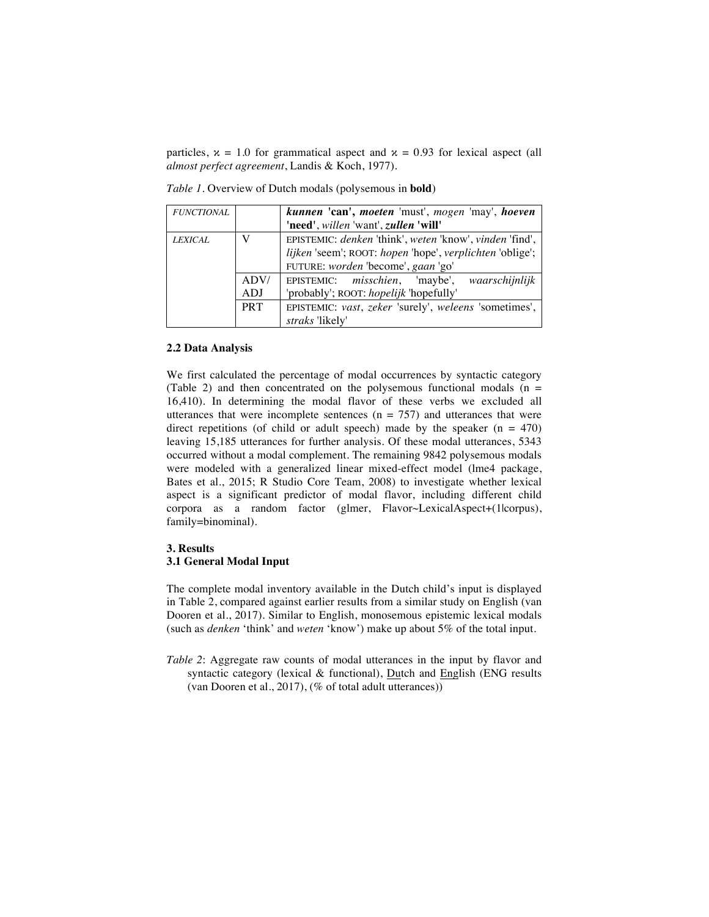particles,  $x = 1.0$  for grammatical aspect and  $x = 0.93$  for lexical aspect (all *almost perfect agreement*, Landis & Koch, 1977).

| <i>FUNCTIONAL</i> |            | kunnen 'can', moeten 'must', mogen 'may', hoeven<br>'need', willen 'want', zullen 'will'                            |  |
|-------------------|------------|---------------------------------------------------------------------------------------------------------------------|--|
| <b>LEXICAL</b>    |            | EPISTEMIC: denken 'think', weten 'know', vinden 'find',<br>lijken 'seem'; ROOT: hopen 'hope', verplichten 'oblige'; |  |
|                   |            | FUTURE: worden 'become', gaan 'go'                                                                                  |  |
|                   | ADV/       | EPISTEMIC: misschien, 'maybe', waarschijnlijk                                                                       |  |
|                   | ADJ        | 'probably'; ROOT: hopelijk 'hopefully'                                                                              |  |
|                   | <b>PRT</b> | EPISTEMIC: vast, zeker 'surely', weleens 'sometimes',                                                               |  |
|                   |            | straks 'likely'                                                                                                     |  |

*Table 1*. Overview of Dutch modals (polysemous in **bold**)

#### **2.2 Data Analysis**

We first calculated the percentage of modal occurrences by syntactic category (Table 2) and then concentrated on the polysemous functional modals  $(n =$ 16,410). In determining the modal flavor of these verbs we excluded all utterances that were incomplete sentences ( $n = 757$ ) and utterances that were direct repetitions (of child or adult speech) made by the speaker  $(n = 470)$ leaving 15,185 utterances for further analysis. Of these modal utterances, 5343 occurred without a modal complement. The remaining 9842 polysemous modals were modeled with a generalized linear mixed-effect model (lme4 package, Bates et al., 2015; R Studio Core Team, 2008) to investigate whether lexical aspect is a significant predictor of modal flavor, including different child corpora as a random factor (glmer, Flavor~LexicalAspect+(1|corpus), family=binominal).

## **3. Results 3.1 General Modal Input**

The complete modal inventory available in the Dutch child's input is displayed in Table 2, compared against earlier results from a similar study on English (van Dooren et al., 2017). Similar to English, monosemous epistemic lexical modals (such as *denken* 'think' and *weten* 'know') make up about 5% of the total input.

*Table 2*: Aggregate raw counts of modal utterances in the input by flavor and syntactic category (lexical & functional), Dutch and English (ENG results (van Dooren et al., 2017), (% of total adult utterances))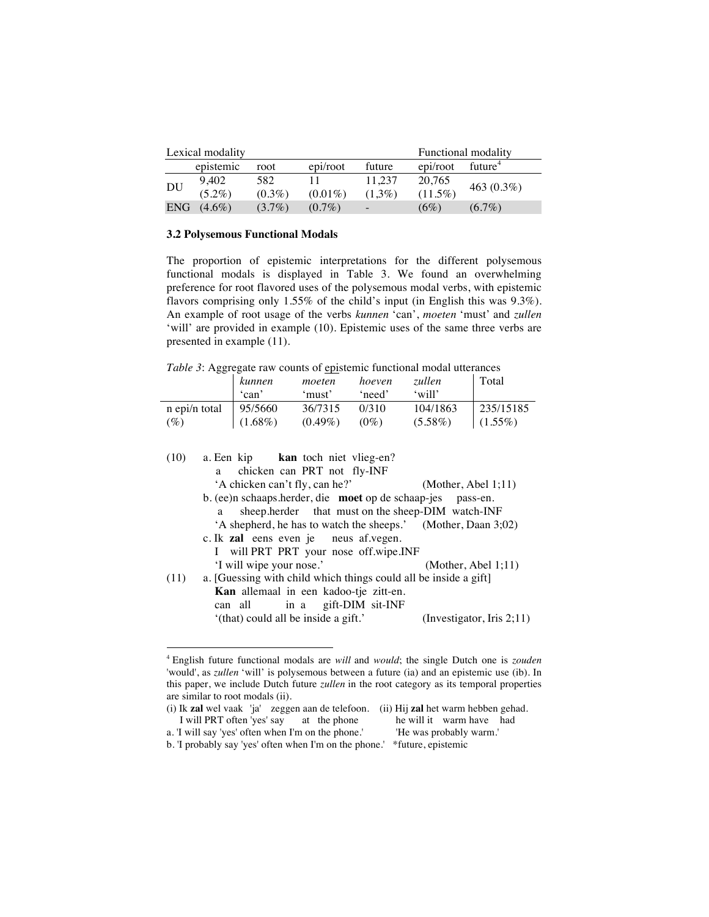|            | Lexical modality |           |            |           |            | Functional modality |
|------------|------------------|-----------|------------|-----------|------------|---------------------|
|            | epistemic        | root      | epi/root   | future    | epi/root   | future <sup>4</sup> |
| <b>DU</b>  | 9,402            | 582       |            | 11.237    | 20.765     |                     |
|            | $(5.2\%)$        | $(0.3\%)$ | $(0.01\%)$ | $(1.3\%)$ | $(11.5\%)$ | 463 $(0.3\%)$       |
| <b>ENG</b> | $(4.6\%)$        | $(3.7\%)$ | $(0.7\%)$  |           | $(6\%)$    | $(6.7\%)$           |

#### **3.2 Polysemous Functional Modals**

 

The proportion of epistemic interpretations for the different polysemous functional modals is displayed in Table 3. We found an overwhelming preference for root flavored uses of the polysemous modal verbs, with epistemic flavors comprising only 1.55% of the child's input (in English this was 9.3%). An example of root usage of the verbs *kunnen* 'can', *moeten* 'must' and *zullen*  'will' are provided in example (10). Epistemic uses of the same three verbs are presented in example (11).

*Table 3*: Aggregate raw counts of epistemic functional modal utterances

| --            | kunnen     | moeten     | hoeven            | zullen     | Total      |
|---------------|------------|------------|-------------------|------------|------------|
|               | 'can'      | 'must'     | need <sup>?</sup> | $'$ will'  |            |
| n epi/n total | 95/5660    | 36/7315    | 0/310             | 104/1863   | 235/15185  |
| (%)           | $(1.68\%)$ | $(0.49\%)$ | $(0\%)$           | $(5.58\%)$ | $(1.55\%)$ |

| (10) | a. Een kip kan toch niet vlieg-en?                               |                              |
|------|------------------------------------------------------------------|------------------------------|
|      | chicken can PRT not fly-INF<br>a                                 |                              |
|      | 'A chicken can't fly, can he?'                                   | (Mother, Abel 1;11)          |
|      | b. (ee)n schaaps.herder, die moet op de schaap-jes pass-en.      |                              |
|      | sheep.herder that must on the sheep-DIM watch-INF<br>a           |                              |
|      | 'A shepherd, he has to watch the sheeps.' (Mother, Daan 3;02)    |                              |
|      | c. Ik <b>zal</b> eens even je neus af. vegen.                    |                              |
|      | I will PRT PRT your nose off.wipe.INF                            |                              |
|      | 'I will wipe your nose.'                                         | (Mother, Abel 1;11)          |
| (11) | a. [Guessing with child which things could all be inside a gift] |                              |
|      | Kan allemaal in een kadoo-tje zitt-en.                           |                              |
|      | can all in a gift-DIM sit-INF                                    |                              |
|      | '(that) could all be inside a gift.'                             | (Investigator, Iris $2;11$ ) |

<sup>4</sup> English future functional modals are *will* and *would*; the single Dutch one is *zouden* 'would', as *zullen* 'will' is polysemous between a future (ia) and an epistemic use (ib). In this paper, we include Dutch future *zullen* in the root category as its temporal properties are similar to root modals (ii).

<sup>(</sup>i) Ik **zal** wel vaak 'ja' zeggen aan de telefoon. (ii) Hij **zal** het warm hebben gehad. I will PRT often 'yes' say at the phone he will it warm have I<br>I will say 'yes' often when I'm on the phone.' He was probably warm.' a. 'I will say 'yes' often when I'm on the phone.' b. 'I probably say 'yes' often when I'm on the phone.' \*future, epistemic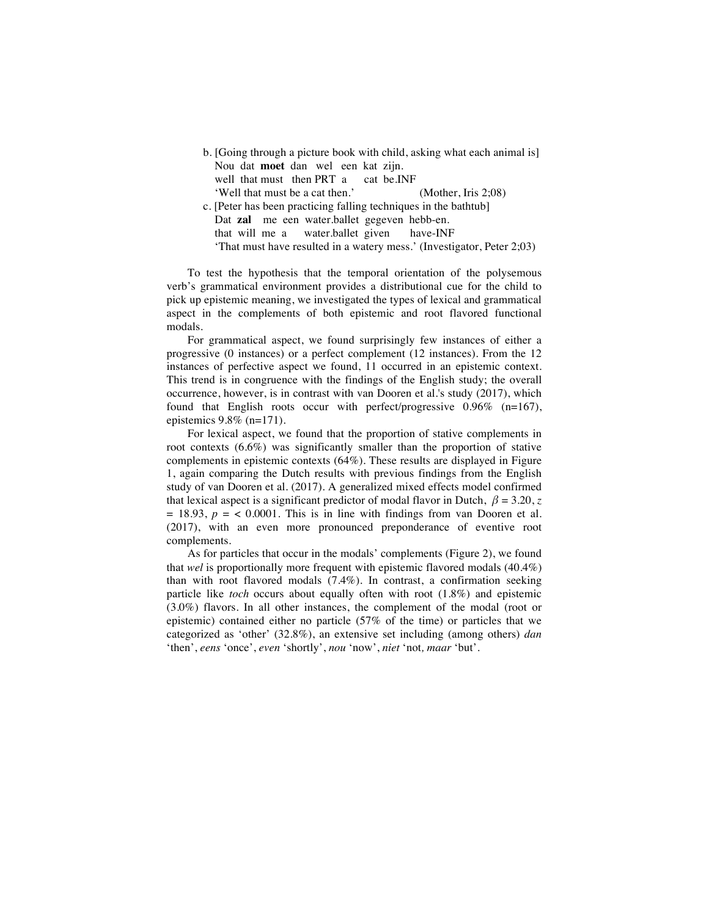|                                                                  | b. [Going through a picture book with child, asking what each animal is] |
|------------------------------------------------------------------|--------------------------------------------------------------------------|
| Nou dat moet dan wel een kat zijn.                               |                                                                          |
| well that must then PRT a cat be.INF                             |                                                                          |
| 'Well that must be a cat then.'                                  | (Mother, Iris $2:08$ )                                                   |
| c. [Peter has been practicing falling techniques in the bathtub] |                                                                          |
| Dat zal me een water.ballet gegeven hebb-en.                     |                                                                          |
| that will me a water.ballet given have-INF                       |                                                                          |
|                                                                  | 'That must have resulted in a watery mess.' (Investigator, Peter 2;03)   |

To test the hypothesis that the temporal orientation of the polysemous verb's grammatical environment provides a distributional cue for the child to pick up epistemic meaning, we investigated the types of lexical and grammatical aspect in the complements of both epistemic and root flavored functional modals.

For grammatical aspect, we found surprisingly few instances of either a progressive (0 instances) or a perfect complement (12 instances). From the 12 instances of perfective aspect we found, 11 occurred in an epistemic context. This trend is in congruence with the findings of the English study; the overall occurrence, however, is in contrast with van Dooren et al.'s study (2017), which found that English roots occur with perfect/progressive 0.96% (n=167), epistemics  $9.8\%$  (n=171).

For lexical aspect, we found that the proportion of stative complements in root contexts  $(6.6\%)$  was significantly smaller than the proportion of stative complements in epistemic contexts (64%). These results are displayed in Figure 1, again comparing the Dutch results with previous findings from the English study of van Dooren et al. (2017). A generalized mixed effects model confirmed that lexical aspect is a significant predictor of modal flavor in Dutch,  $\beta = 3.20$ , *z*  $= 18.93$ ,  $p = < 0.0001$ . This is in line with findings from van Dooren et al. (2017), with an even more pronounced preponderance of eventive root complements.

As for particles that occur in the modals' complements (Figure 2), we found that *wel* is proportionally more frequent with epistemic flavored modals (40.4%) than with root flavored modals (7.4%). In contrast, a confirmation seeking particle like *toch* occurs about equally often with root (1.8%) and epistemic (3.0%) flavors. In all other instances, the complement of the modal (root or epistemic) contained either no particle (57% of the time) or particles that we categorized as 'other' (32.8%), an extensive set including (among others) *dan*  'then', *eens* 'once', *even* 'shortly', *nou* 'now', *niet* 'not*, maar* 'but'.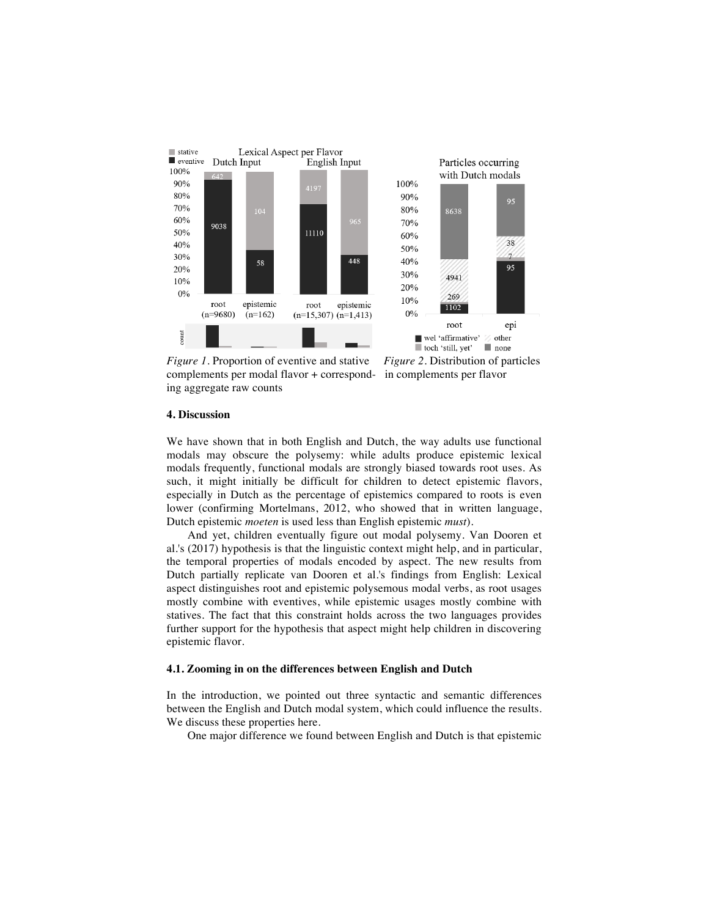

complements per modal flavor + correspond- in complements per flavor ing aggregate raw counts

#### **4. Discussion**

We have shown that in both English and Dutch, the way adults use functional modals may obscure the polysemy: while adults produce epistemic lexical modals frequently, functional modals are strongly biased towards root uses. As such, it might initially be difficult for children to detect epistemic flavors, especially in Dutch as the percentage of epistemics compared to roots is even lower (confirming Mortelmans, 2012, who showed that in written language, Dutch epistemic *moeten* is used less than English epistemic *must*).

And yet, children eventually figure out modal polysemy. Van Dooren et al.'s (2017) hypothesis is that the linguistic context might help, and in particular, the temporal properties of modals encoded by aspect. The new results from Dutch partially replicate van Dooren et al.'s findings from English: Lexical aspect distinguishes root and epistemic polysemous modal verbs, as root usages mostly combine with eventives, while epistemic usages mostly combine with statives. The fact that this constraint holds across the two languages provides further support for the hypothesis that aspect might help children in discovering epistemic flavor.

## **4.1. Zooming in on the differences between English and Dutch**

In the introduction, we pointed out three syntactic and semantic differences between the English and Dutch modal system, which could influence the results. We discuss these properties here.

One major difference we found between English and Dutch is that epistemic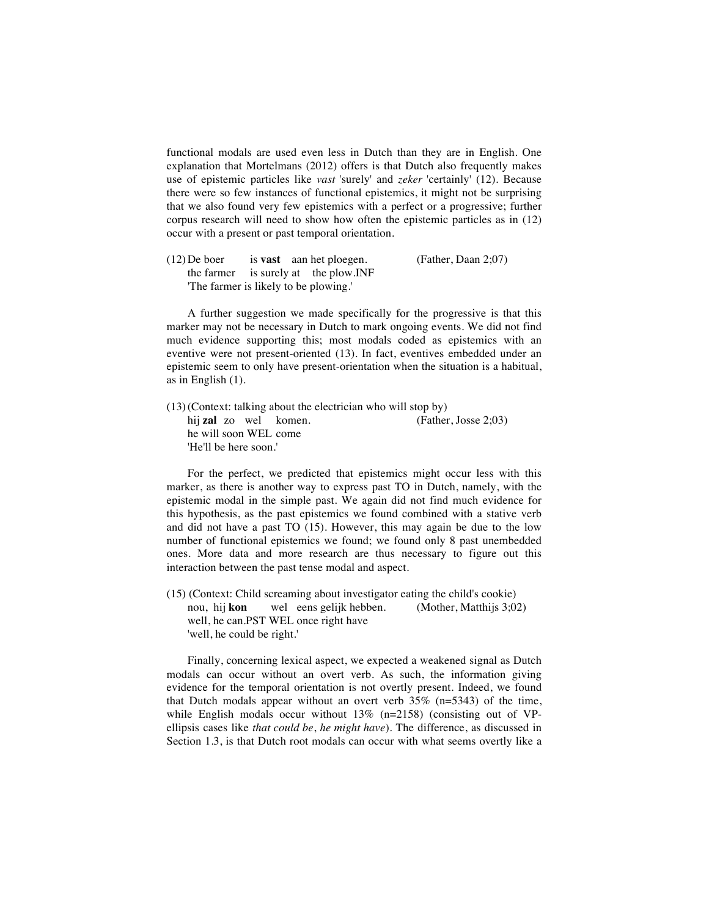functional modals are used even less in Dutch than they are in English. One explanation that Mortelmans (2012) offers is that Dutch also frequently makes use of epistemic particles like *vast* 'surely' and *zeker* 'certainly' (12). Because there were so few instances of functional epistemics, it might not be surprising that we also found very few epistemics with a perfect or a progressive; further corpus research will need to show how often the epistemic particles as in (12) occur with a present or past temporal orientation.

(12)De boer is **vast** aan het ploegen. (Father, Daan 2;07) the farmer is surely at the plow.INF 'The farmer is likely to be plowing.'

A further suggestion we made specifically for the progressive is that this marker may not be necessary in Dutch to mark ongoing events. We did not find much evidence supporting this; most modals coded as epistemics with an eventive were not present-oriented (13). In fact, eventives embedded under an epistemic seem to only have present-orientation when the situation is a habitual, as in English (1).

(13)(Context: talking about the electrician who will stop by) hij **zal** zo wel komen. (Father, Josse 2;03) he will soon WEL come 'He'll be here soon.'

For the perfect, we predicted that epistemics might occur less with this marker, as there is another way to express past TO in Dutch, namely, with the epistemic modal in the simple past. We again did not find much evidence for this hypothesis, as the past epistemics we found combined with a stative verb and did not have a past TO (15). However, this may again be due to the low number of functional epistemics we found; we found only 8 past unembedded ones. More data and more research are thus necessary to figure out this interaction between the past tense modal and aspect.

(15) (Context: Child screaming about investigator eating the child's cookie) nou, hij **kon** wel eens gelijk hebben. (Mother, Matthijs 3;02) well, he can.PST WEL once right have 'well, he could be right.'

Finally, concerning lexical aspect, we expected a weakened signal as Dutch modals can occur without an overt verb. As such, the information giving evidence for the temporal orientation is not overtly present. Indeed, we found that Dutch modals appear without an overt verb 35% (n=5343) of the time, while English modals occur without  $13\%$  (n=2158) (consisting out of VPellipsis cases like *that could be*, *he might have*). The difference, as discussed in Section 1.3, is that Dutch root modals can occur with what seems overtly like a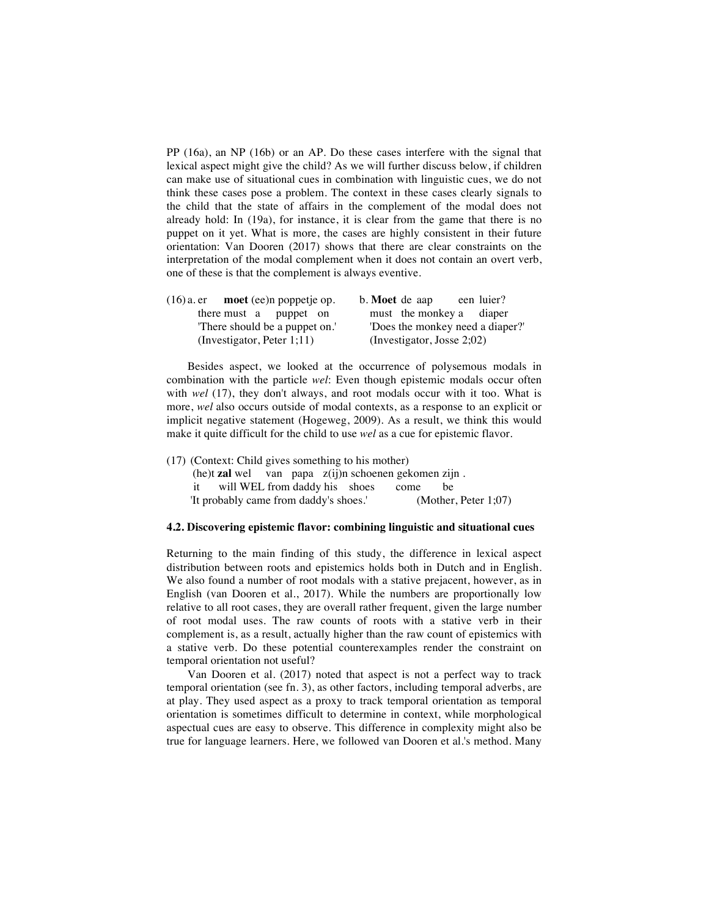PP (16a), an NP (16b) or an AP. Do these cases interfere with the signal that lexical aspect might give the child? As we will further discuss below, if children can make use of situational cues in combination with linguistic cues, we do not think these cases pose a problem. The context in these cases clearly signals to the child that the state of affairs in the complement of the modal does not already hold: In (19a), for instance, it is clear from the game that there is no puppet on it yet. What is more, the cases are highly consistent in their future orientation: Van Dooren (2017) shows that there are clear constraints on the interpretation of the modal complement when it does not contain an overt verb, one of these is that the complement is always eventive.

| $(16)$ a. er moet (ee)n poppetje op. | b. Moet de aap<br>een luier?     |
|--------------------------------------|----------------------------------|
| there must a puppet on               | must the monkey a diaper         |
| There should be a puppet on.         | 'Does the monkey need a diaper?' |
| (Investigator, Peter $1;11$ )        | (Investigator, Josse $2;02$ )    |

Besides aspect, we looked at the occurrence of polysemous modals in combination with the particle *wel*: Even though epistemic modals occur often with *wel* (17), they don't always, and root modals occur with it too. What is more, *wel* also occurs outside of modal contexts, as a response to an explicit or implicit negative statement (Hogeweg, 2009). As a result, we think this would make it quite difficult for the child to use *wel* as a cue for epistemic flavor.

(17) (Context: Child gives something to his mother)

(he)t **zal** wel van papa z(ij)n schoenen gekomen zijn . it will WEL from daddy his shoes come be 'It probably came from daddy's shoes.' (Mother, Peter 1;07)

## **4.2. Discovering epistemic flavor: combining linguistic and situational cues**

Returning to the main finding of this study, the difference in lexical aspect distribution between roots and epistemics holds both in Dutch and in English. We also found a number of root modals with a stative prejacent, however, as in English (van Dooren et al., 2017). While the numbers are proportionally low relative to all root cases, they are overall rather frequent, given the large number of root modal uses. The raw counts of roots with a stative verb in their complement is, as a result, actually higher than the raw count of epistemics with a stative verb. Do these potential counterexamples render the constraint on temporal orientation not useful?

Van Dooren et al. (2017) noted that aspect is not a perfect way to track temporal orientation (see fn. 3), as other factors, including temporal adverbs, are at play. They used aspect as a proxy to track temporal orientation as temporal orientation is sometimes difficult to determine in context, while morphological aspectual cues are easy to observe. This difference in complexity might also be true for language learners. Here, we followed van Dooren et al.'s method. Many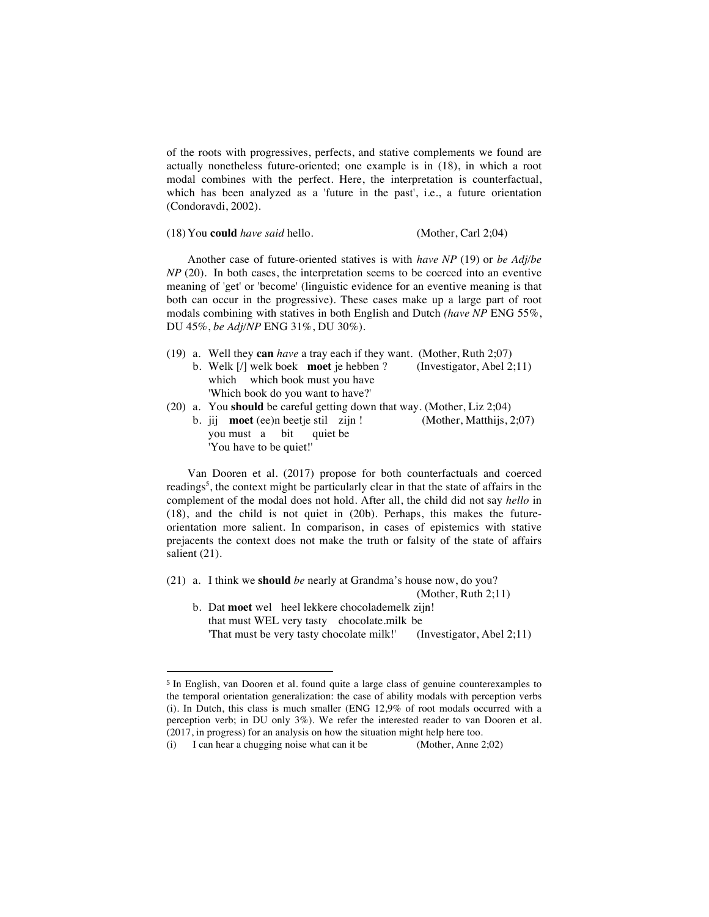of the roots with progressives, perfects, and stative complements we found are actually nonetheless future-oriented; one example is in (18), in which a root modal combines with the perfect. Here, the interpretation is counterfactual, which has been analyzed as a 'future in the past', i.e., a future orientation (Condoravdi, 2002).

(18)You **could** *have said* hello. (Mother, Carl 2;04)

 

Another case of future-oriented statives is with *have NP* (19) or *be Adj/be NP* (20). In both cases, the interpretation seems to be coerced into an eventive meaning of 'get' or 'become' (linguistic evidence for an eventive meaning is that both can occur in the progressive). These cases make up a large part of root modals combining with statives in both English and Dutch *(have NP* ENG 55%, DU 45%, *be Adj/NP* ENG 31%, DU 30%).

- (19) a. Well they **can** *have* a tray each if they want. (Mother, Ruth 2;07)
	- b. Welk [/] welk boek **moet** je hebben ? (Investigator, Abel 2;11) which which book must you have 'Which book do you want to have?'
- (20) a. You **should** be careful getting down that way. (Mother, Liz 2;04)
	- b. jij **moet** (ee)n beetje stil zijn ! (Mother, Matthijs, 2;07) you must a bit quiet be 'You have to be quiet!'

Van Dooren et al. (2017) propose for both counterfactuals and coerced readings<sup>5</sup>, the context might be particularly clear in that the state of affairs in the complement of the modal does not hold. After all, the child did not say *hello* in (18), and the child is not quiet in (20b). Perhaps, this makes the futureorientation more salient. In comparison, in cases of epistemics with stative prejacents the context does not make the truth or falsity of the state of affairs salient (21).

(21) a. I think we **should** *be* nearly at Grandma's house now, do you?

(Mother, Ruth 2;11)

b. Dat **moet** wel heel lekkere chocolademelk zijn! that must WEL very tasty chocolate.milk be<br>
"That must be very tasty chocolate milk!" (Investigator, Abel 2;11) 'That must be very tasty chocolate milk!'

<sup>5</sup> In English, van Dooren et al. found quite a large class of genuine counterexamples to the temporal orientation generalization: the case of ability modals with perception verbs (i). In Dutch, this class is much smaller (ENG 12,9% of root modals occurred with a perception verb; in DU only 3%). We refer the interested reader to van Dooren et al. (2017, in progress) for an analysis on how the situation might help here too.

<sup>(</sup>i) I can hear a chugging noise what can it be (Mother, Anne 2;02)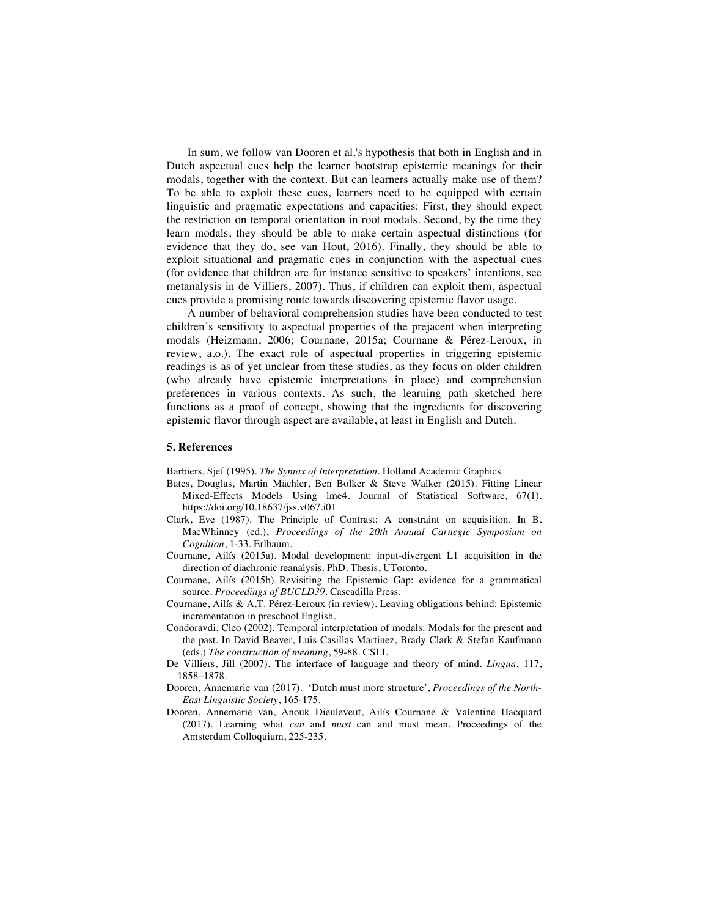In sum, we follow van Dooren et al.'s hypothesis that both in English and in Dutch aspectual cues help the learner bootstrap epistemic meanings for their modals, together with the context. But can learners actually make use of them? To be able to exploit these cues, learners need to be equipped with certain linguistic and pragmatic expectations and capacities: First, they should expect the restriction on temporal orientation in root modals. Second, by the time they learn modals, they should be able to make certain aspectual distinctions (for evidence that they do, see van Hout, 2016). Finally, they should be able to exploit situational and pragmatic cues in conjunction with the aspectual cues (for evidence that children are for instance sensitive to speakers' intentions, see metanalysis in de Villiers, 2007). Thus, if children can exploit them, aspectual cues provide a promising route towards discovering epistemic flavor usage.

A number of behavioral comprehension studies have been conducted to test children's sensitivity to aspectual properties of the prejacent when interpreting modals (Heizmann, 2006; Cournane, 2015a; Cournane & Pérez-Leroux, in review, a.o.). The exact role of aspectual properties in triggering epistemic readings is as of yet unclear from these studies, as they focus on older children (who already have epistemic interpretations in place) and comprehension preferences in various contexts. As such, the learning path sketched here functions as a proof of concept, showing that the ingredients for discovering epistemic flavor through aspect are available, at least in English and Dutch.

## **5. References**

Barbiers, Sjef (1995). *The Syntax of Interpretation*. Holland Academic Graphics

- Bates, Douglas, Martin Mächler, Ben Bolker & Steve Walker (2015). Fitting Linear Mixed-Effects Models Using lme4. Journal of Statistical Software, 67(1). https://doi.org/10.18637/jss.v067.i01
- Clark, Eve (1987). The Principle of Contrast: A constraint on acquisition. In B. MacWhinney (ed.), *Proceedings of the 20th Annual Carnegie Symposium on Cognition*, 1-33. Erlbaum.
- Cournane, Ailís (2015a). Modal development: input-divergent L1 acquisition in the direction of diachronic reanalysis. PhD. Thesis, UToronto.
- Cournane, Ailís (2015b). Revisiting the Epistemic Gap: evidence for a grammatical source. *Proceedings of BUCLD39.* Cascadilla Press.
- Cournane, Ailís & A.T. Pérez-Leroux (in review). Leaving obligations behind: Epistemic incrementation in preschool English.
- Condoravdi, Cleo (2002). Temporal interpretation of modals: Modals for the present and the past. In David Beaver, Luis Casillas Martinez, Brady Clark & Stefan Kaufmann (eds.) *The construction of meaning*, 59-88. CSLI.
- De Villiers, Jill (2007). The interface of language and theory of mind. *Lingua*, 117, 1858–1878.
- Dooren, Annemarie van (2017). 'Dutch must more structure', *Proceedings of the North-East Linguistic Society*, 165-175.
- Dooren, Annemarie van, Anouk Dieuleveut, Ailís Cournane & Valentine Hacquard (2017). Learning what *can* and *must* can and must mean. Proceedings of the Amsterdam Colloquium, 225-235.